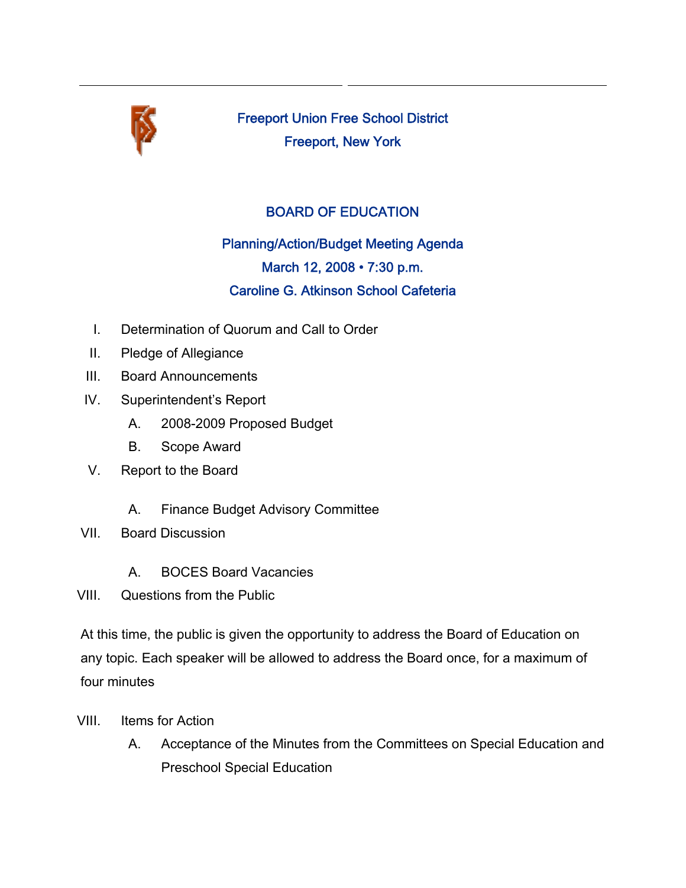

Freeport Union Free School District Freeport, New York

## BOARD OF EDUCATION

## Planning/Action/Budget Meeting Agenda March 12, 2008 • 7:30 p.m. Caroline G. Atkinson School Cafeteria

- I. Determination of Quorum and Call to Order
- II. Pledge of Allegiance
- III. Board Announcements
- IV. Superintendent's Report
	- A. 2008-2009 Proposed Budget
	- B. Scope Award
- V. Report to the Board
	- A. Finance Budget Advisory Committee
- VII. Board Discussion
	- A. BOCES Board Vacancies
- VIII. Questions from the Public

At this time, the public is given the opportunity to address the Board of Education on any topic. Each speaker will be allowed to address the Board once, for a maximum of four minutes

- VIII. Items for Action
	- A. Acceptance of the Minutes from the Committees on Special Education and Preschool Special Education